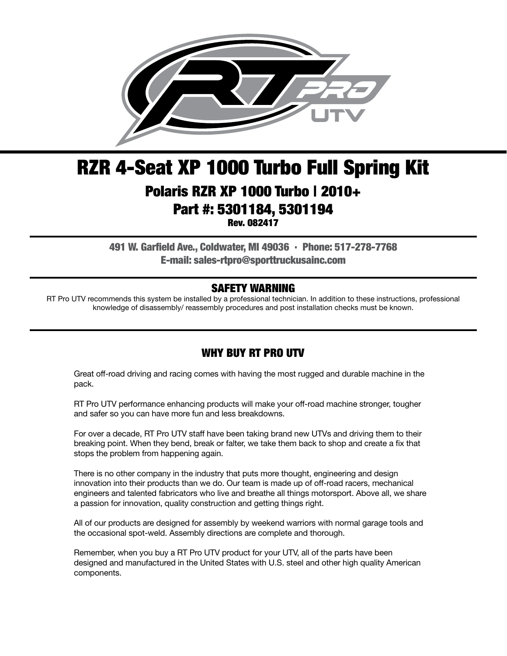

# RZR 4-Seat XP 1000 Turbo Full Spring Kit Polaris RZR XP 1000 Turbo | 2010+ Part #: 5301184, 5301194

Rev. 082417

491 W. Garfield Ave., Coldwater, MI 49036 . Phone: 517-278-7768 E-mail: sales-rtpro@sporttruckusainc.com

#### SAFETY WARNING

RT Pro UTV recommends this system be installed by a professional technician. In addition to these instructions, professional knowledge of disassembly/ reassembly procedures and post installation checks must be known.

## WHY BUY RT PRO UTV

Great off-road driving and racing comes with having the most rugged and durable machine in the pack.

RT Pro UTV performance enhancing products will make your off-road machine stronger, tougher and safer so you can have more fun and less breakdowns.

For over a decade, RT Pro UTV staff have been taking brand new UTVs and driving them to their breaking point. When they bend, break or falter, we take them back to shop and create a fix that stops the problem from happening again.

There is no other company in the industry that puts more thought, engineering and design innovation into their products than we do. Our team is made up of off-road racers, mechanical engineers and talented fabricators who live and breathe all things motorsport. Above all, we share a passion for innovation, quality construction and getting things right.

All of our products are designed for assembly by weekend warriors with normal garage tools and the occasional spot-weld. Assembly directions are complete and thorough.

Remember, when you buy a RT Pro UTV product for your UTV, all of the parts have been designed and manufactured in the United States with U.S. steel and other high quality American components.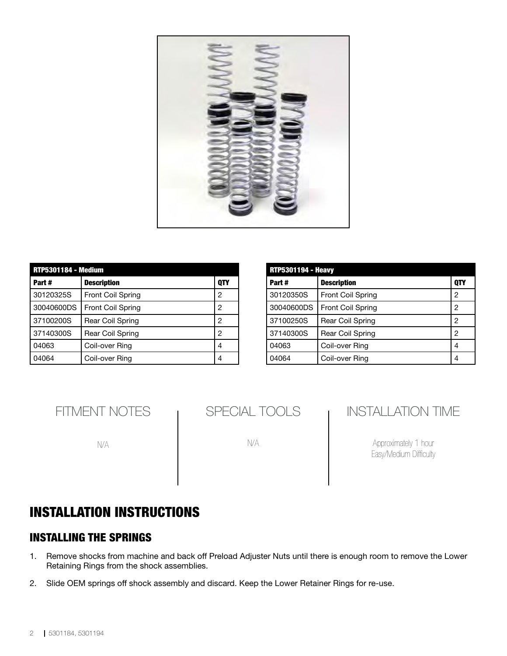

| <b>RTP5301184 - Medium</b> |                          |     |  |
|----------------------------|--------------------------|-----|--|
| Part#                      | <b>Description</b>       | 0TY |  |
| 30120325S                  | <b>Front Coil Spring</b> | 2   |  |
| 30040600DS                 | <b>Front Coil Spring</b> | 2   |  |
| 37100200S                  | Rear Coil Spring         | 2   |  |
| 37140300S                  | Rear Coil Spring         | 2   |  |
| 04063                      | Coil-over Ring           | 4   |  |
| 04064                      | Coil-over Ring           | 4   |  |

| <b>RTP5301194 - Heavy</b> |                          |            |  |
|---------------------------|--------------------------|------------|--|
| Part#                     | <b>Description</b>       | <b>OTY</b> |  |
| 30120350S                 | Front Coil Spring        | 2          |  |
| 30040600DS                | <b>Front Coil Spring</b> | 2          |  |
| 37100250S                 | Rear Coil Spring         | 2          |  |
| 37140300S                 | Rear Coil Spring         | 2          |  |
| 04063                     | Coil-over Ring           | 4          |  |
| 04064                     | Coil-over Ring           | 4          |  |

FITMENT NOTES

N/A

N/A

# INSTALLATION TIME

Approximately 1 hour Easy/Medium Difficulty

# INSTALLATION INSTRUCTIONS

#### INSTALLING THE SPRINGS

- 1. Remove shocks from machine and back off Preload Adjuster Nuts until there is enough room to remove the Lower Retaining Rings from the shock assemblies.
- 2. Slide OEM springs off shock assembly and discard. Keep the Lower Retainer Rings for re-use.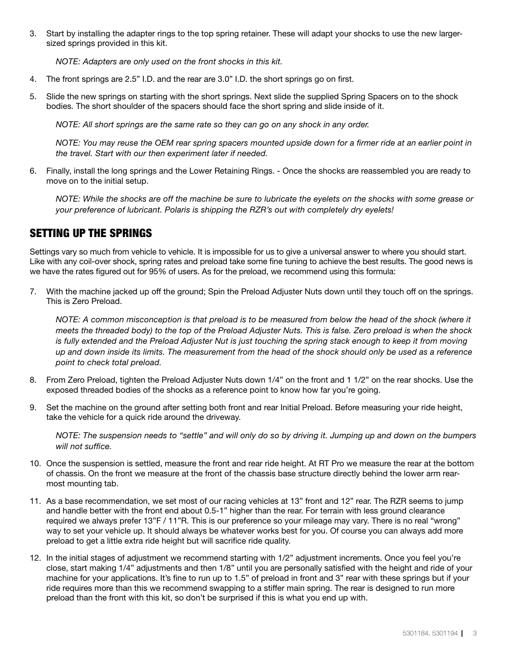3. Start by installing the adapter rings to the top spring retainer. These will adapt your shocks to use the new largersized springs provided in this kit.

*NOTE: Adapters are only used on the front shocks in this kit.*

- 4. The front springs are 2.5" I.D. and the rear are 3.0" I.D. the short springs go on first.
- 5. Slide the new springs on starting with the short springs. Next slide the supplied Spring Spacers on to the shock bodies. The short shoulder of the spacers should face the short spring and slide inside of it.

*NOTE: All short springs are the same rate so they can go on any shock in any order.* 

*NOTE: You may reuse the OEM rear spring spacers mounted upside down for a firmer ride at an earlier point in the travel. Start with our then experiment later if needed.*

6. Finally, install the long springs and the Lower Retaining Rings. - Once the shocks are reassembled you are ready to move on to the initial setup.

*NOTE: While the shocks are off the machine be sure to lubricate the eyelets on the shocks with some grease or your preference of lubricant. Polaris is shipping the RZR's out with completely dry eyelets!*

#### SETTING UP THE SPRINGS

Settings vary so much from vehicle to vehicle. It is impossible for us to give a universal answer to where you should start. Like with any coil-over shock, spring rates and preload take some fine tuning to achieve the best results. The good news is we have the rates figured out for 95% of users. As for the preload, we recommend using this formula:

7. With the machine jacked up off the ground; Spin the Preload Adjuster Nuts down until they touch off on the springs. This is Zero Preload.

*NOTE: A common misconception is that preload is to be measured from below the head of the shock (where it meets the threaded body) to the top of the Preload Adjuster Nuts. This is false. Zero preload is when the shock is fully extended and the Preload Adjuster Nut is just touching the spring stack enough to keep it from moving up and down inside its limits. The measurement from the head of the shock should only be used as a reference point to check total preload.*

- 8. From Zero Preload, tighten the Preload Adjuster Nuts down 1/4" on the front and 1 1/2" on the rear shocks. Use the exposed threaded bodies of the shocks as a reference point to know how far you're going.
- 9. Set the machine on the ground after setting both front and rear Initial Preload. Before measuring your ride height, take the vehicle for a quick ride around the driveway.

*NOTE: The suspension needs to "settle" and will only do so by driving it. Jumping up and down on the bumpers will not suffice.*

- 10. Once the suspension is settled, measure the front and rear ride height. At RT Pro we measure the rear at the bottom of chassis. On the front we measure at the front of the chassis base structure directly behind the lower arm rearmost mounting tab.
- 11. As a base recommendation, we set most of our racing vehicles at 13" front and 12" rear. The RZR seems to jump and handle better with the front end about 0.5-1" higher than the rear. For terrain with less ground clearance required we always prefer 13"F / 11"R. This is our preference so your mileage may vary. There is no real "wrong" way to set your vehicle up. It should always be whatever works best for you. Of course you can always add more preload to get a little extra ride height but will sacrifice ride quality.
- 12. In the initial stages of adjustment we recommend starting with 1/2" adjustment increments. Once you feel you're close, start making 1/4" adjustments and then 1/8" until you are personally satisfied with the height and ride of your machine for your applications. It's fine to run up to 1.5" of preload in front and 3" rear with these springs but if your ride requires more than this we recommend swapping to a stiffer main spring. The rear is designed to run more preload than the front with this kit, so don't be surprised if this is what you end up with.